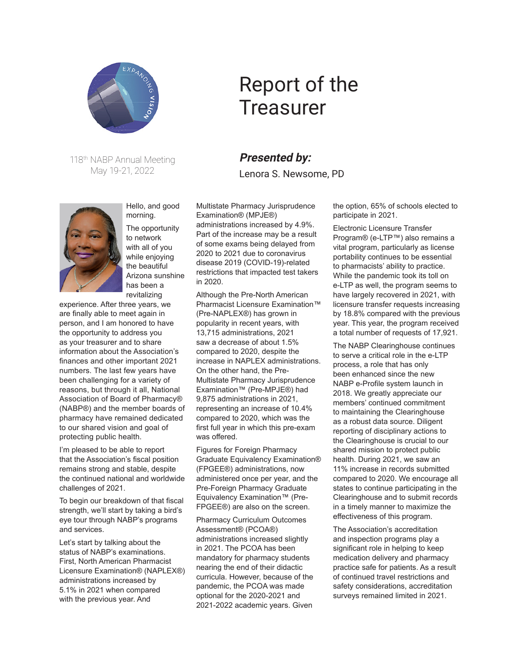

118th NABP Annual Meeting May 19-21, 2022



Hello, and good morning.

The opportunity to network with all of you while enjoying the beautiful Arizona sunshine has been a revitalizing

experience. After three years, we are finally able to meet again in person, and I am honored to have the opportunity to address you as your treasurer and to share information about the Association's finances and other important 2021 numbers. The last few years have been challenging for a variety of reasons, but through it all, National Association of Board of Pharmacy® (NABP®) and the member boards of pharmacy have remained dedicated to our shared vision and goal of protecting public health.

I'm pleased to be able to report that the Association's fiscal position remains strong and stable, despite the continued national and worldwide challenges of 2021.

To begin our breakdown of that fiscal strength, we'll start by taking a bird's eye tour through NABP's programs and services.

Let's start by talking about the status of NABP's examinations. First, North American Pharmacist Licensure Examination® (NAPLEX®) administrations increased by 5.1% in 2021 when compared with the previous year. And

## Report of the **Treasurer**

## **Presented by:**

Lenora S. Newsome, PD

Multistate Pharmacy Jurisprudence Examination® (MPJE®) administrations increased by 4.9%. Part of the increase may be a result of some exams being delayed from 2020 to 2021 due to coronavirus disease 2019 (COVID-19)-related restrictions that impacted test takers in 2020.

Although the Pre-North American Pharmacist Licensure Examination™ (Pre-NAPLEX®) has grown in popularity in recent years, with 13,715 administrations, 2021 saw a decrease of about 1.5% compared to 2020, despite the increase in NAPLEX administrations. On the other hand, the Pre-Multistate Pharmacy Jurisprudence Examination™ (Pre-MPJE®) had 9,875 administrations in 2021, representing an increase of 10.4% compared to 2020, which was the first full year in which this pre-exam was offered.

Figures for Foreign Pharmacy Graduate Equivalency Examination® (FPGEE®) administrations, now administered once per year, and the Pre-Foreign Pharmacy Graduate Equivalency Examination™ (Pre-FPGEE®) are also on the screen.

Pharmacy Curriculum Outcomes Assessment® (PCOA®) administrations increased slightly in 2021. The PCOA has been mandatory for pharmacy students nearing the end of their didactic curricula. However, because of the pandemic, the PCOA was made optional for the 2020-2021 and 2021-2022 academic years. Given

the option, 65% of schools elected to participate in 2021.

Electronic Licensure Transfer Program® (e-LTP™) also remains a vital program, particularly as license portability continues to be essential to pharmacists' ability to practice. While the pandemic took its toll on e-LTP as well, the program seems to have largely recovered in 2021, with licensure transfer requests increasing by 18.8% compared with the previous year. This year, the program received a total number of requests of 17,921.

The NABP Clearinghouse continues to serve a critical role in the e-LTP process, a role that has only been enhanced since the new NABP e-Profile system launch in 2018. We greatly appreciate our members' continued commitment to maintaining the Clearinghouse as a robust data source. Diligent reporting of disciplinary actions to the Clearinghouse is crucial to our shared mission to protect public health. During 2021, we saw an 11% increase in records submitted compared to 2020. We encourage all states to continue participating in the Clearinghouse and to submit records in a timely manner to maximize the effectiveness of this program.

The Association's accreditation and inspection programs play a significant role in helping to keep medication delivery and pharmacy practice safe for patients. As a result of continued travel restrictions and safety considerations, accreditation surveys remained limited in 2021.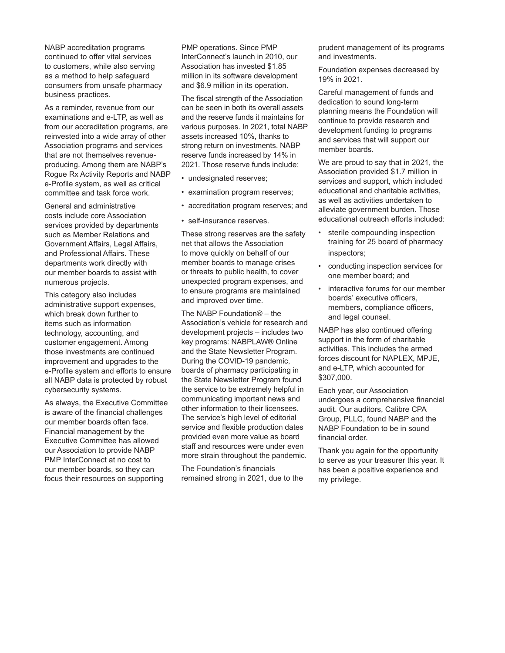NABP accreditation programs continued to offer vital services to customers, while also serving as a method to help safeguard consumers from unsafe pharmacy business practices.

As a reminder, revenue from our examinations and e-LTP, as well as from our accreditation programs, are reinvested into a wide array of other Association programs and services that are not themselves revenueproducing. Among them are NABP's Rogue Rx Activity Reports and NABP e-Profile system, as well as critical committee and task force work.

General and administrative costs include core Association services provided by departments such as Member Relations and Government Affairs, Legal Affairs, and Professional Affairs. These departments work directly with our member boards to assist with numerous projects.

This category also includes administrative support expenses, which break down further to items such as information technology, accounting, and customer engagement. Among those investments are continued improvement and upgrades to the e-Profile system and efforts to ensure all NABP data is protected by robust cybersecurity systems.

As always, the Executive Committee is aware of the financial challenges our member boards often face. Financial management by the Executive Committee has allowed our Association to provide NABP PMP InterConnect at no cost to our member boards, so they can focus their resources on supporting

PMP operations. Since PMP InterConnect's launch in 2010, our Association has invested \$1.85 million in its software development and \$6.9 million in its operation.

The fiscal strength of the Association can be seen in both its overall assets and the reserve funds it maintains for various purposes. In 2021, total NABP assets increased 10%, thanks to strong return on investments. NABP reserve funds increased by 14% in 2021. Those reserve funds include:

- undesignated reserves;
- examination program reserves;
- accreditation program reserves; and
- self-insurance reserves.

These strong reserves are the safety net that allows the Association to move quickly on behalf of our member boards to manage crises or threats to public health, to cover unexpected program expenses, and to ensure programs are maintained and improved over time.

The NABP Foundation® – the Association's vehicle for research and development projects – includes two key programs: NABPLAW® Online and the State Newsletter Program. During the COVID-19 pandemic, boards of pharmacy participating in the State Newsletter Program found the service to be extremely helpful in communicating important news and other information to their licensees. The service's high level of editorial service and flexible production dates provided even more value as board staff and resources were under even more strain throughout the pandemic.

The Foundation's financials remained strong in 2021, due to the prudent management of its programs and investments.

Foundation expenses decreased by 19% in 2021.

Careful management of funds and dedication to sound long-term planning means the Foundation will continue to provide research and development funding to programs and services that will support our member boards.

We are proud to say that in 2021, the Association provided \$1.7 million in services and support, which included educational and charitable activities, as well as activities undertaken to alleviate government burden. Those educational outreach efforts included:

- sterile compounding inspection training for 25 board of pharmacy inspectors;
- conducting inspection services for one member board; and
- interactive forums for our member boards' executive officers, members, compliance officers, and legal counsel.

NABP has also continued offering support in the form of charitable activities. This includes the armed forces discount for NAPLEX, MPJE, and e-LTP, which accounted for \$307,000.

Each year, our Association undergoes a comprehensive financial audit. Our auditors, Calibre CPA Group, PLLC, found NABP and the NABP Foundation to be in sound financial order.

Thank you again for the opportunity to serve as your treasurer this year. It has been a positive experience and my privilege.